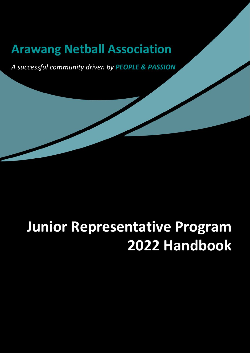## **Arawang Netball Association**

*A successful community driven by PEOPLE & PASSION*

# **Junior Representative Program 2022 Handbook**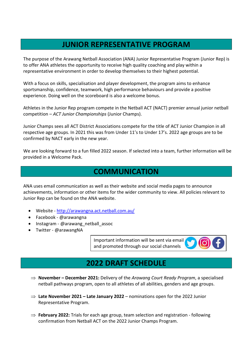#### **JUNIOR REPRESENTATIVE PROGRAM**

The purpose of the Arawang Netball Association (ANA) Junior Representative Program (Junior Rep) is to offer ANA athletes the opportunity to receive high quality coaching and play within a representative environment in order to develop themselves to their highest potential.

With a focus on skills, specialisation and player development, the program aims to enhance sportsmanship, confidence, teamwork, high performance behaviours and provide a positive experience. Doing well on the scoreboard is also a welcome bonus.

Athletes in the Junior Rep program compete in the Netball ACT (NACT) premier annual junior netball competition – *ACT Junior Championships* (Junior Champs).

Junior Champs sees all ACT District Associations compete for the title of ACT Junior Champion in all respective age groups. In 2021 this was from Under 11's to Under 17's. 2022 age groups are to be confirmed by NACT early in the new year.

We are looking forward to a fun filled 2022 season. If selected into a team, further information will be provided in a Welcome Pack.

#### **COMMUNICATION**

ANA uses email communication as well as their website and social media pages to announce achievements, information or other items for the wider community to view. All policies relevant to Junior Rep can be found on the ANA website.

- Website <http://arawangna.act.netball.com.au/>
- Facebook @arawangna
- Instagram @arawang\_netball\_assoc
- Twitter @arawangNA

Important information will be sent via email and promoted through our social channels

## **2022 DRAFT SCHEDULE**

- ⇒ **November – December 2021:** Delivery of the *Arawang Court Ready Program*, a specialised netball pathways program, open to all athletes of all abilities, genders and age groups.
- ⇒ **Late November 2021 – Late January 2022** nominations open for the 2022 Junior Representative Program.
- ⇒ **February 2022:** Trials for each age group, team selection and registration following confirmation from Netball ACT on the 2022 Junior Champs Program.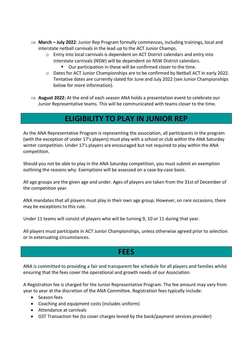- ⇒ **March – July 2022**: Junior Rep Program formally commences, including trainings, local and interstate netball carnivals in the lead up to the ACT Junior Champs.
	- $\circ$  Entry into local carnivals is dependent on ACT District calendars and entry into interstate carnivals (NSW) will be dependent on NSW District calendars.
		- Our participation in these will be confirmed closer to the time.
	- $\circ$  Dates for ACT Junior Championships are to be confirmed by Netball ACT in early 2022. Tentative dates are currently slated for June and July 2022 (see Junior Championships below for more information).
- ⇒ **August 2022:** At the end of each season ANA holds a presentation event to celebrate our Junior Representative teams. This will be communicated with teams closer to the time.

## **ELIGIBILITY TO PLAY IN JUNIOR REP**

As the ANA Representative Program is representing the association, all participants in the program (with the exception of under 17's players) must play with a school or club within the ANA Saturday winter competition. Under 17's players are encouraged but not required to play within the ANA competition.

Should you not be able to play in the ANA Saturday competition, you must submit an exemption outlining the reasons why. Exemptions will be assessed on a case-by-case basis.

All age groups are the given age and under. Ages of players are taken from the 31st of December of the competition year.

ANA mandates that all players must play in their own age group. However, on rare occasions, there may be exceptions to this rule.

Under 11 teams will consist of players who will be turning 9, 10 or 11 during that year.

All players must participate in ACT Junior Championships, unless otherwise agreed prior to selection or in extenuating circumstances.

#### **FEES**

ANA is committed to providing a fair and transparent fee schedule for all players and families whilst ensuring that the fees cover the operational and growth needs of our Association.

A Registration fee is charged for the Junior Representative Program. The fee amount may vary from year to year at the discretion of the ANA Committee. Registration fees typically include:

- Season fees
- Coaching and equipment costs (includes uniform)
- Attendance at carnivals
- GST Transaction fee (to cover charges levied by the bank/payment services provider)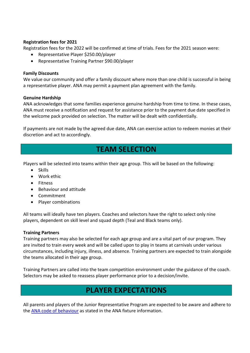#### **Registration fees for 2021**

Registration fees for the 2022 will be confirmed at time of trials. Fees for the 2021 season were:

- Representative Player \$250.00/player
- Representative Training Partner \$90.00/player

#### **Family Discounts**

We value our community and offer a family discount where more than one child is successful in being a representative player. ANA may permit a payment plan agreement with the family.

#### **Genuine Hardship**

ANA acknowledges that some families experience genuine hardship from time to time. In these cases, ANA must receive a notification and request for assistance prior to the payment due date specified in the welcome pack provided on selection. The matter will be dealt with confidentially.

If payments are not made by the agreed due date, ANA can exercise action to redeem monies at their discretion and act to accordingly.

#### **TEAM SELECTION**

Players will be selected into teams within their age group. This will be based on the following:

- Skills
- Work ethic
- Fitness
- Behaviour and attitude
- Commitment
- Player combinations

All teams will ideally have ten players. Coaches and selectors have the right to select only nine players, dependent on skill level and squad depth (Teal and Black teams only).

#### **Training Partners**

Training partners may also be selected for each age group and are a vital part of our program. They are invited to train every week and will be called upon to play in teams at carnivals under various circumstances, including injury, illness, and absence. Training partners are expected to train alongside the teams allocated in their age group.

Training Partners are called into the team competition environment under the guidance of the coach. Selectors may be asked to reassess player performance prior to a decision/invite.

## **PLAYER EXPECTATIONS**

All parents and players of the Junior Representative Program are expected to be aware and adhere to the **ANA code of behaviour** as stated in the ANA fixture information.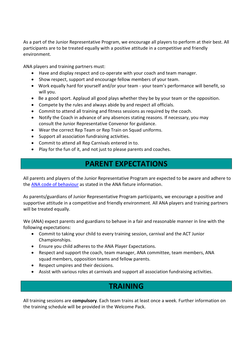As a part of the Junior Representative Program, we encourage all players to perform at their best. All participants are to be treated equally with a positive attitude in a competitive and friendly environment.

ANA players and training partners must:

- Have and display respect and co-operate with your coach and team manager.
- Show respect, support and encourage fellow members of your team.
- Work equally hard for yourself and/or your team your team's performance will benefit, so will you.
- Be a good sport. Applaud all good plays whether they be by your team or the opposition.
- Compete by the rules and always abide by and respect all officials.
- Commit to attend all training and fitness sessions as required by the coach.
- Notify the Coach in advance of any absences stating reasons. If necessary, you may consult the Junior Representative Convenor for guidance.
- Wear the correct Rep Team or Rep Train on Squad uniforms.
- Support all association fundraising activities.
- Commit to attend all Rep Carnivals entered in to.
- Play for the fun of it, and not just to please parents and coaches.

## **PARENT EXPECTATIONS**

All parents and players of the Junior Representative Program are expected to be aware and adhere to the [ANA code of behaviour](http://www.randwicknetball.com.au/wp-content/uploads/2015/11/2017-fixtures-information.pdf) as stated in the ANA fixture information.

As parents/guardians of Junior Representative Program participants, we encourage a positive and supportive attitude in a competitive and friendly environment. All ANA players and training partners will be treated equally.

We (ANA) expect parents and guardians to behave in a fair and reasonable manner in line with the following expectations:

- Commit to taking your child to every training session, carnival and the ACT Junior Championships.
- Ensure you child adheres to the ANA Player Expectations.
- Respect and support the coach, team manager, ANA committee, team members, ANA squad members, opposition teams and fellow parents.
- Respect umpires and their decisions.
- Assist with various roles at carnivals and support all association fundraising activities.

## **TRAINING**

All training sessions are **compulsory**. Each team trains at least once a week. Further information on the training schedule will be provided in the Welcome Pack.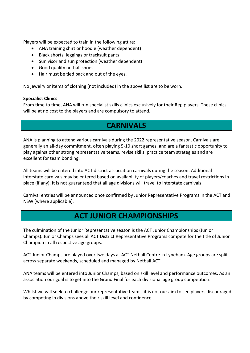Players will be expected to train in the following attire:

- ANA training shirt or hoodie (weather dependent)
- Black shorts, leggings or tracksuit pants
- Sun visor and sun protection (weather dependent)
- Good quality netball shoes.
- Hair must be tied back and out of the eyes.

No jewelry or items of clothing (not included) in the above list are to be worn.

#### **Specialist Clinics**

From time to time, ANA will run specialist skills clinics exclusively for their Rep players. These clinics will be at no cost to the players and are compulsory to attend.

## **CARNIVALS**

ANA is planning to attend various carnivals during the 2022 representative season. Carnivals are generally an all-day commitment, often playing 5-10 short games, and are a fantastic opportunity to play against other strong representative teams, revise skills, practice team strategies and are excellent for team bonding.

All teams will be entered into ACT district association carnivals during the season. Additional interstate carnivals may be entered based on availability of players/coaches and travel restrictions in place (if any). It is not guaranteed that all age divisions will travel to interstate carnivals.

Carnival entries will be announced once confirmed by Junior Representative Programs in the ACT and NSW (where applicable).

## **ACT JUNIOR CHAMPIONSHIPS**

The culmination of the Junior Representative season is the ACT Junior Championships (Junior Champs). Junior Champs sees all ACT District Representative Programs compete for the title of Junior Champion in all respective age groups.

ACT Junior Champs are played over two days at ACT Netball Centre in Lyneham. Age groups are split across separate weekends, scheduled and managed by Netball ACT.

ANA teams will be entered into Junior Champs, based on skill level and performance outcomes. As an association our goal is to get into the Grand Final for each divisional age group competition.

Whilst we will seek to challenge our representative teams, it is not our aim to see players discouraged by competing in divisions above their skill level and confidence.